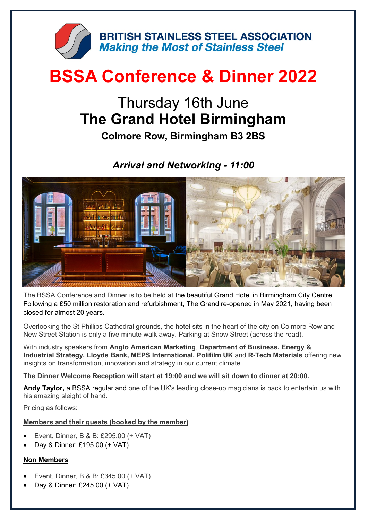

# **BSSA Conference & Dinner 2022**

## Thursday 16th June **The Grand Hotel Birmingham**

**Colmore Row, Birmingham B3 2BS** 

### *Arrival and Networking - 11:00*



The BSSA Conference and Dinner is to be held at the beautiful Grand Hotel in Birmingham City Centre. Following a £50 million restoration and refurbishment, The Grand re-opened in May 2021, having been closed for almost 20 years.

Overlooking the St Phillips Cathedral grounds, the hotel sits in the heart of the city on Colmore Row and New Street Station is only a five minute walk away. Parking at Snow Street (across the road).

With industry speakers from **Anglo American Marketing**, **Department of Business, Energy & Industrial Strategy, Lloyds Bank, MEPS International, Polifilm UK** and **R-Tech Materials** offering new insights on transformation, innovation and strategy in our current climate.

**The Dinner Welcome Reception will start at 19:00 and we will sit down to dinner at 20:00.**

**[Andy Taylor,](http://www.atmagic.co.uk/)** a BSSA regular and one of the UK's leading close-up magicians is back to entertain us with his amazing sleight of hand.

Pricing as follows:

#### **Members and their guests (booked by the member)**

- Event, Dinner, B & B: £295.00 (+ VAT)
- Day & Dinner: £195.00 (+ VAT)

#### **Non Members**

- Event, Dinner, B & B: £345.00 (+ VAT)
- Day & Dinner: £245.00 (+ VAT)